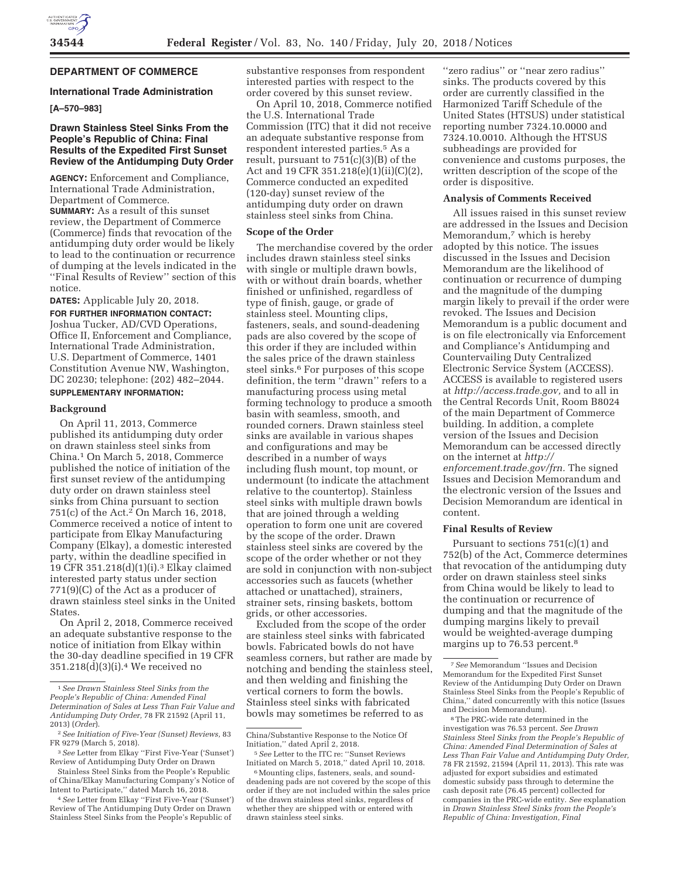

# **DEPARTMENT OF COMMERCE**

## **International Trade Administration**

# **[A–570–983]**

## **Drawn Stainless Steel Sinks From the People's Republic of China: Final Results of the Expedited First Sunset Review of the Antidumping Duty Order**

**AGENCY:** Enforcement and Compliance, International Trade Administration, Department of Commerce. **SUMMARY:** As a result of this sunset review, the Department of Commerce (Commerce) finds that revocation of the antidumping duty order would be likely to lead to the continuation or recurrence of dumping at the levels indicated in the ''Final Results of Review'' section of this notice.

**DATES:** Applicable July 20, 2018. **FOR FURTHER INFORMATION CONTACT:**  Joshua Tucker, AD/CVD Operations, Office II, Enforcement and Compliance,

International Trade Administration, U.S. Department of Commerce, 1401 Constitution Avenue NW, Washington, DC 20230; telephone: (202) 482–2044. **SUPPLEMENTARY INFORMATION:** 

### **Background**

On April 11, 2013, Commerce published its antidumping duty order on drawn stainless steel sinks from China.1 On March 5, 2018, Commerce published the notice of initiation of the first sunset review of the antidumping duty order on drawn stainless steel sinks from China pursuant to section 751(c) of the Act.<sup>2</sup> On March 16, 2018, Commerce received a notice of intent to participate from Elkay Manufacturing Company (Elkay), a domestic interested party, within the deadline specified in 19 CFR 351.218(d)(1)(i).3 Elkay claimed interested party status under section 771(9)(C) of the Act as a producer of drawn stainless steel sinks in the United States.

On April 2, 2018, Commerce received an adequate substantive response to the notice of initiation from Elkay within the 30-day deadline specified in 19 CFR  $351.218(\text{d})(3)(i).4$  We received no

substantive responses from respondent interested parties with respect to the order covered by this sunset review.

On April 10, 2018, Commerce notified the U.S. International Trade Commission (ITC) that it did not receive an adequate substantive response from respondent interested parties.<sup>5</sup> As a result, pursuant to 751(c)(3)(B) of the Act and 19 CFR 351.218(e)(1)(ii)(C)(2), Commerce conducted an expedited (120-day) sunset review of the antidumping duty order on drawn stainless steel sinks from China.

# **Scope of the Order**

The merchandise covered by the order includes drawn stainless steel sinks with single or multiple drawn bowls, with or without drain boards, whether finished or unfinished, regardless of type of finish, gauge, or grade of stainless steel. Mounting clips, fasteners, seals, and sound-deadening pads are also covered by the scope of this order if they are included within the sales price of the drawn stainless steel sinks.6 For purposes of this scope definition, the term ''drawn'' refers to a manufacturing process using metal forming technology to produce a smooth basin with seamless, smooth, and rounded corners. Drawn stainless steel sinks are available in various shapes and configurations and may be described in a number of ways including flush mount, top mount, or undermount (to indicate the attachment relative to the countertop). Stainless steel sinks with multiple drawn bowls that are joined through a welding operation to form one unit are covered by the scope of the order. Drawn stainless steel sinks are covered by the scope of the order whether or not they are sold in conjunction with non-subject accessories such as faucets (whether attached or unattached), strainers, strainer sets, rinsing baskets, bottom grids, or other accessories.

Excluded from the scope of the order are stainless steel sinks with fabricated bowls. Fabricated bowls do not have seamless corners, but rather are made by notching and bending the stainless steel, and then welding and finishing the vertical corners to form the bowls. Stainless steel sinks with fabricated bowls may sometimes be referred to as

''zero radius'' or ''near zero radius'' sinks. The products covered by this order are currently classified in the Harmonized Tariff Schedule of the United States (HTSUS) under statistical reporting number 7324.10.0000 and 7324.10.0010. Although the HTSUS subheadings are provided for convenience and customs purposes, the written description of the scope of the order is dispositive.

#### **Analysis of Comments Received**

All issues raised in this sunset review are addressed in the Issues and Decision Memorandum,<sup>7</sup> which is hereby adopted by this notice. The issues discussed in the Issues and Decision Memorandum are the likelihood of continuation or recurrence of dumping and the magnitude of the dumping margin likely to prevail if the order were revoked. The Issues and Decision Memorandum is a public document and is on file electronically via Enforcement and Compliance's Antidumping and Countervailing Duty Centralized Electronic Service System (ACCESS). ACCESS is available to registered users at *http://access.trade.gov,* and to all in the Central Records Unit, Room B8024 of the main Department of Commerce building. In addition, a complete version of the Issues and Decision Memorandum can be accessed directly on the internet at *http:// enforcement.trade.gov/frn.* The signed Issues and Decision Memorandum and the electronic version of the Issues and Decision Memorandum are identical in content.

# **Final Results of Review**

Pursuant to sections 751(c)(1) and 752(b) of the Act, Commerce determines that revocation of the antidumping duty order on drawn stainless steel sinks from China would be likely to lead to the continuation or recurrence of dumping and that the magnitude of the dumping margins likely to prevail would be weighted-average dumping margins up to 76.53 percent.<sup>8</sup>

8The PRC-wide rate determined in the investigation was 76.53 percent. *See Drawn Stainless Steel Sinks from the People's Republic of China: Amended Final Determination of Sales at Less Than Fair Value and Antidumping Duty Order,*  78 FR 21592, 21594 (April 11, 2013). This rate was adjusted for export subsidies and estimated domestic subsidy pass through to determine the cash deposit rate (76.45 percent) collected for companies in the PRC-wide entity. *See* explanation in *Drawn Stainless Steel Sinks from the People's Republic of China: Investigation, Final* 

<sup>1</sup>*See Drawn Stainless Steel Sinks from the People's Republic of China: Amended Final Determination of Sales at Less Than Fair Value and Antidumping Duty Order,* 78 FR 21592 (April 11, 2013) (*Order*).

<sup>2</sup>*See Initiation of Five-Year (Sunset) Reviews,* 83 FR 9279 (March 5, 2018).

<sup>3</sup>*See* Letter from Elkay ''First Five-Year ('Sunset') Review of Antidumping Duty Order on Drawn

Stainless Steel Sinks from the People's Republic of China/Elkay Manufacturing Company's Notice of Intent to Participate,'' dated March 16, 2018.

<sup>4</sup>*See* Letter from Elkay ''First Five-Year ('Sunset') Review of The Antidumping Duty Order on Drawn Stainless Steel Sinks from the People's Republic of

China/Substantive Response to the Notice Of Initiation,'' dated April 2, 2018.

<sup>5</sup>*See* Letter to the ITC re: ''Sunset Reviews Initiated on March 5, 2018,'' dated April 10, 2018.

<sup>&</sup>lt;sup>6</sup> Mounting clips, fasteners, seals, and sounddeadening pads are not covered by the scope of this order if they are not included within the sales price of the drawn stainless steel sinks, regardless of whether they are shipped with or entered with drawn stainless steel sinks.

<sup>7</sup>*See* Memorandum ''Issues and Decision Memorandum for the Expedited First Sunset Review of the Antidumping Duty Order on Drawn Stainless Steel Sinks from the People's Republic of China,'' dated concurrently with this notice (Issues and Decision Memorandum).